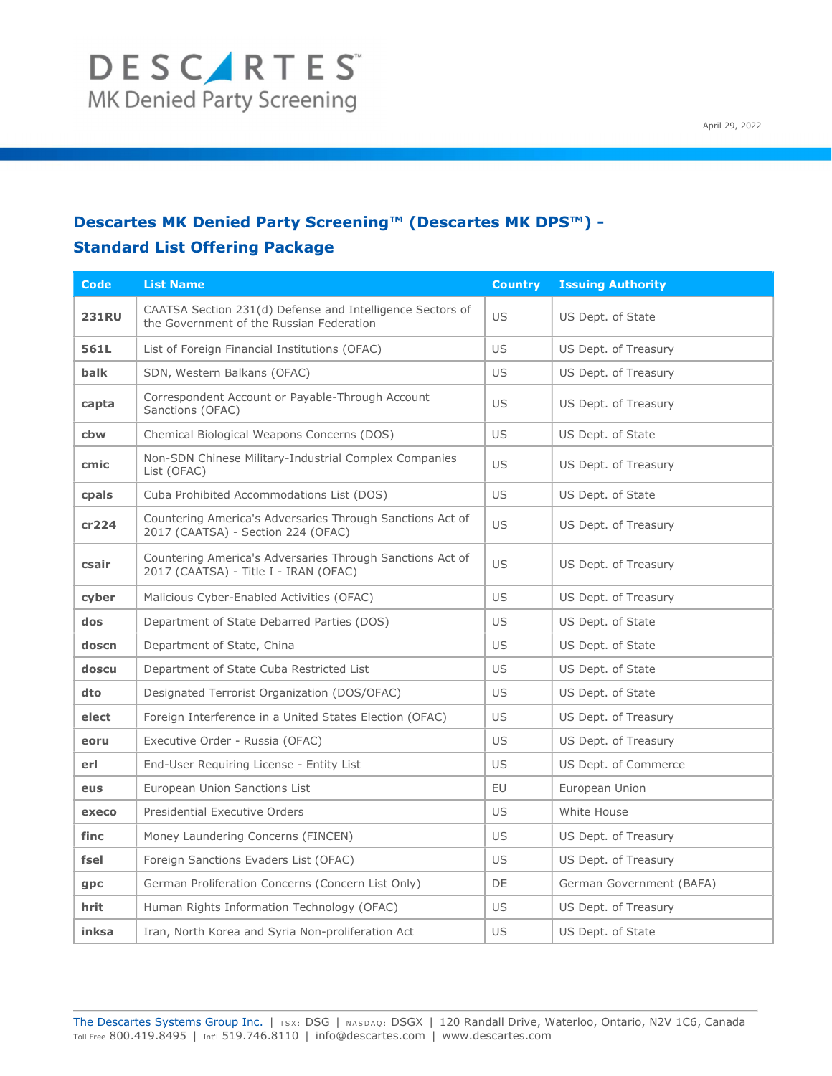### Descartes MK Denied Party Screening™ (Descartes MK DPS™) -

### Standard List Offering Package

| <b>Code</b>  | <b>List Name</b>                                                                                      | <b>Country</b> | <b>Issuing Authority</b> |
|--------------|-------------------------------------------------------------------------------------------------------|----------------|--------------------------|
| <b>231RU</b> | CAATSA Section 231(d) Defense and Intelligence Sectors of<br>the Government of the Russian Federation | <b>US</b>      | US Dept. of State        |
| 561L         | List of Foreign Financial Institutions (OFAC)                                                         | <b>US</b>      | US Dept. of Treasury     |
| balk         | SDN, Western Balkans (OFAC)                                                                           | US.            | US Dept. of Treasury     |
| capta        | Correspondent Account or Payable-Through Account<br>Sanctions (OFAC)                                  | <b>US</b>      | US Dept. of Treasury     |
| cbw          | Chemical Biological Weapons Concerns (DOS)                                                            | US.            | US Dept. of State        |
| cmic         | Non-SDN Chinese Military-Industrial Complex Companies<br>List (OFAC)                                  | <b>US</b>      | US Dept. of Treasury     |
| cpals        | Cuba Prohibited Accommodations List (DOS)                                                             | US             | US Dept. of State        |
| cr224        | Countering America's Adversaries Through Sanctions Act of<br>2017 (CAATSA) - Section 224 (OFAC)       | <b>US</b>      | US Dept. of Treasury     |
| csair        | Countering America's Adversaries Through Sanctions Act of<br>2017 (CAATSA) - Title I - IRAN (OFAC)    | <b>US</b>      | US Dept. of Treasury     |
| cyber        | Malicious Cyber-Enabled Activities (OFAC)                                                             | <b>US</b>      | US Dept. of Treasury     |
| dos          | Department of State Debarred Parties (DOS)                                                            | <b>US</b>      | US Dept. of State        |
| doscn        | Department of State, China                                                                            | US             | US Dept. of State        |
| doscu        | Department of State Cuba Restricted List                                                              | US.            | US Dept. of State        |
| dto          | Designated Terrorist Organization (DOS/OFAC)                                                          | US             | US Dept. of State        |
| elect        | Foreign Interference in a United States Election (OFAC)                                               | US             | US Dept. of Treasury     |
| eoru         | Executive Order - Russia (OFAC)                                                                       | US.            | US Dept. of Treasury     |
| erl          | End-User Requiring License - Entity List                                                              | US             | US Dept. of Commerce     |
| eus          | European Union Sanctions List                                                                         | EU             | European Union           |
| execo        | Presidential Executive Orders                                                                         | US.            | White House              |
| finc         | Money Laundering Concerns (FINCEN)                                                                    | US             | US Dept. of Treasury     |
| fsel         | Foreign Sanctions Evaders List (OFAC)                                                                 | <b>US</b>      | US Dept. of Treasury     |
| gpc          | German Proliferation Concerns (Concern List Only)                                                     | DE             | German Government (BAFA) |
| hrit         | Human Rights Information Technology (OFAC)                                                            | US             | US Dept. of Treasury     |
| inksa        | Iran, North Korea and Syria Non-proliferation Act                                                     | US             | US Dept. of State        |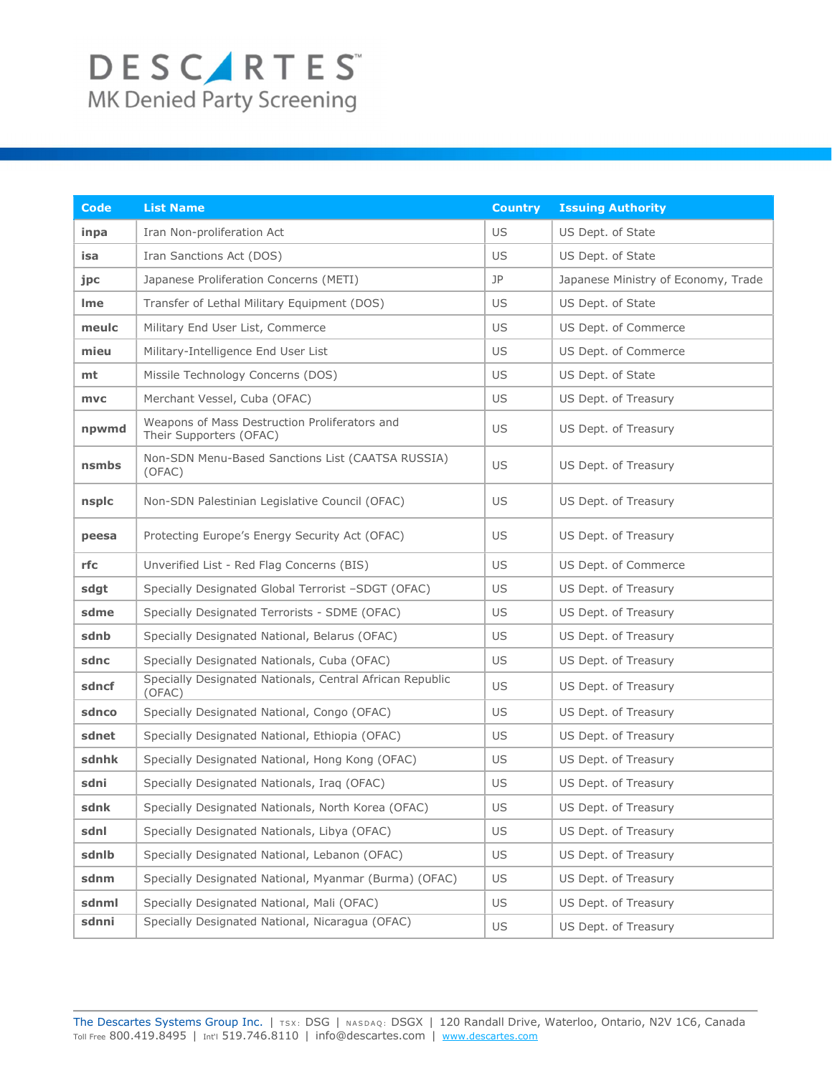| <b>Code</b> | <b>List Name</b>                                                         | <b>Country</b> | <b>Issuing Authority</b>            |
|-------------|--------------------------------------------------------------------------|----------------|-------------------------------------|
| inpa        | Iran Non-proliferation Act                                               | US             | US Dept. of State                   |
| isa         | Iran Sanctions Act (DOS)                                                 | US             | US Dept. of State                   |
| jpc         | Japanese Proliferation Concerns (METI)                                   | JP             | Japanese Ministry of Economy, Trade |
| Ime         | Transfer of Lethal Military Equipment (DOS)                              | US             | US Dept. of State                   |
| meulc       | Military End User List, Commerce                                         | US             | US Dept. of Commerce                |
| mieu        | Military-Intelligence End User List                                      | US             | US Dept. of Commerce                |
| mt          | Missile Technology Concerns (DOS)                                        | US             | US Dept. of State                   |
| mvc         | Merchant Vessel, Cuba (OFAC)                                             | US             | US Dept. of Treasury                |
| npwmd       | Weapons of Mass Destruction Proliferators and<br>Their Supporters (OFAC) | US             | US Dept. of Treasury                |
| nsmbs       | Non-SDN Menu-Based Sanctions List (CAATSA RUSSIA)<br>(OFAC)              | US             | US Dept. of Treasury                |
| nsplc       | Non-SDN Palestinian Legislative Council (OFAC)                           | US             | US Dept. of Treasury                |
| peesa       | Protecting Europe's Energy Security Act (OFAC)                           | US             | US Dept. of Treasury                |
| rfc         | Unverified List - Red Flag Concerns (BIS)                                | US             | US Dept. of Commerce                |
| sdgt        | Specially Designated Global Terrorist -SDGT (OFAC)                       | US             | US Dept. of Treasury                |
| sdme        | Specially Designated Terrorists - SDME (OFAC)                            | US             | US Dept. of Treasury                |
| sdnb        | Specially Designated National, Belarus (OFAC)                            | US             | US Dept. of Treasury                |
| sdnc        | Specially Designated Nationals, Cuba (OFAC)                              | US             | US Dept. of Treasury                |
| sdncf       | Specially Designated Nationals, Central African Republic<br>(OFAC)       | US             | US Dept. of Treasury                |
| sdnco       | Specially Designated National, Congo (OFAC)                              | US             | US Dept. of Treasury                |
| sdnet       | Specially Designated National, Ethiopia (OFAC)                           | US             | US Dept. of Treasury                |
| sdnhk       | Specially Designated National, Hong Kong (OFAC)                          | US             | US Dept. of Treasury                |
| sdni        | Specially Designated Nationals, Iraq (OFAC)                              | US             | US Dept. of Treasury                |
| sdnk        | Specially Designated Nationals, North Korea (OFAC)                       | US             | US Dept. of Treasury                |
| sdnl        | Specially Designated Nationals, Libya (OFAC)                             | US             | US Dept. of Treasury                |
| sdnlb       | Specially Designated National, Lebanon (OFAC)                            | US             | US Dept. of Treasury                |
| sdnm        | Specially Designated National, Myanmar (Burma) (OFAC)                    | US             | US Dept. of Treasury                |
| sdnml       | Specially Designated National, Mali (OFAC)                               | US             | US Dept. of Treasury                |
| sdnni       | Specially Designated National, Nicaragua (OFAC)                          | US             | US Dept. of Treasury                |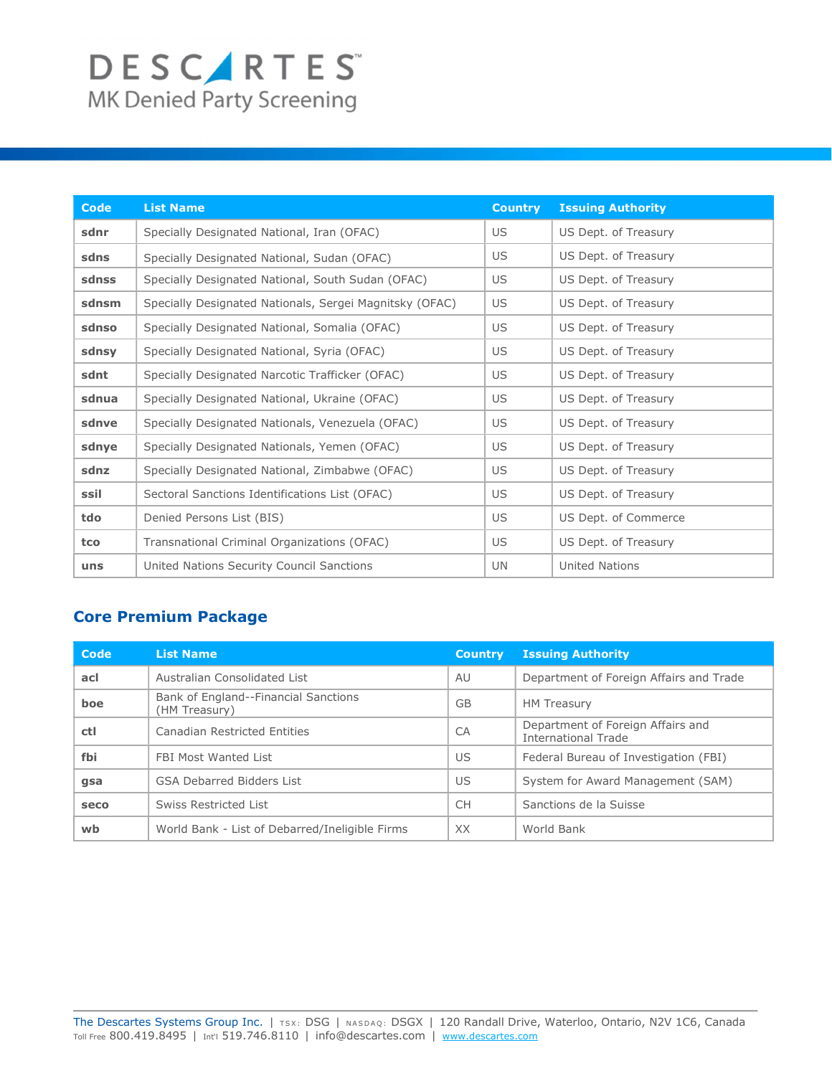# DESCARTES

| <b>Code</b> | <b>List Name</b>                                        | <b>Country</b> | <b>Issuing Authority</b> |
|-------------|---------------------------------------------------------|----------------|--------------------------|
| sdnr        | Specially Designated National, Iran (OFAC)              | US             | US Dept. of Treasury     |
| sdns        | Specially Designated National, Sudan (OFAC)             | US             | US Dept. of Treasury     |
| sdnss       | Specially Designated National, South Sudan (OFAC)       | US             | US Dept. of Treasury     |
| sdnsm       | Specially Designated Nationals, Sergei Magnitsky (OFAC) | US             | US Dept. of Treasury     |
| sdnso       | Specially Designated National, Somalia (OFAC)           | US             | US Dept. of Treasury     |
| sdnsy       | Specially Designated National, Syria (OFAC)             | US             | US Dept. of Treasury     |
| sdnt        | Specially Designated Narcotic Trafficker (OFAC)         | US             | US Dept. of Treasury     |
| sdnua       | Specially Designated National, Ukraine (OFAC)           | US             | US Dept. of Treasury     |
| sdnve       | Specially Designated Nationals, Venezuela (OFAC)        | US             | US Dept. of Treasury     |
| sdnye       | Specially Designated Nationals, Yemen (OFAC)            | US             | US Dept. of Treasury     |
| sdnz        | Specially Designated National, Zimbabwe (OFAC)          | US             | US Dept. of Treasury     |
| ssil        | Sectoral Sanctions Identifications List (OFAC)          | US             | US Dept. of Treasury     |
| tdo         | Denied Persons List (BIS)                               | US             | US Dept. of Commerce     |
| tco         | Transnational Criminal Organizations (OFAC)             | US             | US Dept. of Treasury     |
| uns         | United Nations Security Council Sanctions               | UN             | United Nations           |

### Core Premium Package

| Code | <b>List Name</b>                                      | <b>Country</b> | <b>Issuing Authority</b>                                        |
|------|-------------------------------------------------------|----------------|-----------------------------------------------------------------|
| acl  | Australian Consolidated List                          | AU             | Department of Foreign Affairs and Trade                         |
| boe  | Bank of England--Financial Sanctions<br>(HM Treasury) | <b>GB</b>      | <b>HM Treasury</b>                                              |
| ctl  | Canadian Restricted Entities                          | CA             | Department of Foreign Affairs and<br><b>International Trade</b> |
| fbi  | FBI Most Wanted List                                  | US             | Federal Bureau of Investigation (FBI)                           |
| gsa  | GSA Debarred Bidders List                             | US             | System for Award Management (SAM)                               |
| seco | Swiss Restricted List                                 | <b>CH</b>      | Sanctions de la Suisse                                          |
| wb   | World Bank - List of Debarred/Ineligible Firms        | XX             | World Bank                                                      |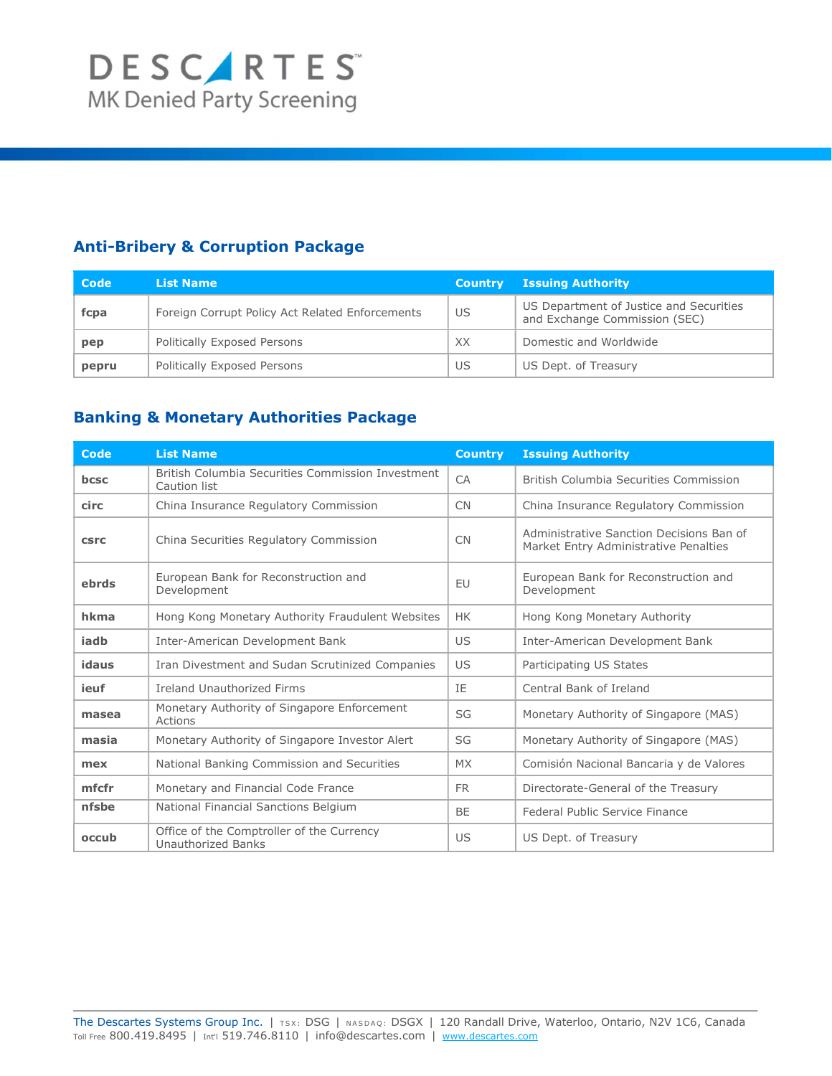### Anti-Bribery & Corruption Package

| Code  | <b>List Name</b>                                | <b>Country</b> | <b>Issuing Authority</b>                                                 |
|-------|-------------------------------------------------|----------------|--------------------------------------------------------------------------|
| fcpa  | Foreign Corrupt Policy Act Related Enforcements | US             | US Department of Justice and Securities<br>and Exchange Commission (SEC) |
| pep   | Politically Exposed Persons                     | XX             | Domestic and Worldwide                                                   |
| pepru | Politically Exposed Persons                     | US             | US Dept. of Treasury                                                     |

### Banking & Monetary Authorities Package

| Code        | <b>List Name</b>                                                       | <b>Country</b> | <b>Issuing Authority</b>                                                          |
|-------------|------------------------------------------------------------------------|----------------|-----------------------------------------------------------------------------------|
| bcsc        | British Columbia Securities Commission Investment<br>Caution list      | CA             | British Columbia Securities Commission                                            |
| circ        | China Insurance Regulatory Commission                                  | <b>CN</b>      | China Insurance Regulatory Commission                                             |
| <b>CSFC</b> | China Securities Regulatory Commission                                 | <b>CN</b>      | Administrative Sanction Decisions Ban of<br>Market Entry Administrative Penalties |
| ebrds       | European Bank for Reconstruction and<br>Development                    | EU             | European Bank for Reconstruction and<br>Development                               |
| hkma        | Hong Kong Monetary Authority Fraudulent Websites                       | <b>HK</b>      | Hong Kong Monetary Authority                                                      |
| iadb        | Inter-American Development Bank                                        | US             | Inter-American Development Bank                                                   |
| idaus       | Iran Divestment and Sudan Scrutinized Companies                        | US             | Participating US States                                                           |
| ieuf        | <b>Ireland Unauthorized Firms</b>                                      | IE             | Central Bank of Ireland                                                           |
| masea       | Monetary Authority of Singapore Enforcement<br>Actions                 | SG             | Monetary Authority of Singapore (MAS)                                             |
| masia       | Monetary Authority of Singapore Investor Alert                         | SG             | Monetary Authority of Singapore (MAS)                                             |
| mex         | National Banking Commission and Securities                             | <b>MX</b>      | Comisión Nacional Bancaria y de Valores                                           |
| mfcfr       | Monetary and Financial Code France                                     | <b>FR</b>      | Directorate-General of the Treasury                                               |
| nfsbe       | National Financial Sanctions Belgium                                   | <b>BE</b>      | Federal Public Service Finance                                                    |
| occub       | Office of the Comptroller of the Currency<br><b>Unauthorized Banks</b> | US             | US Dept. of Treasury                                                              |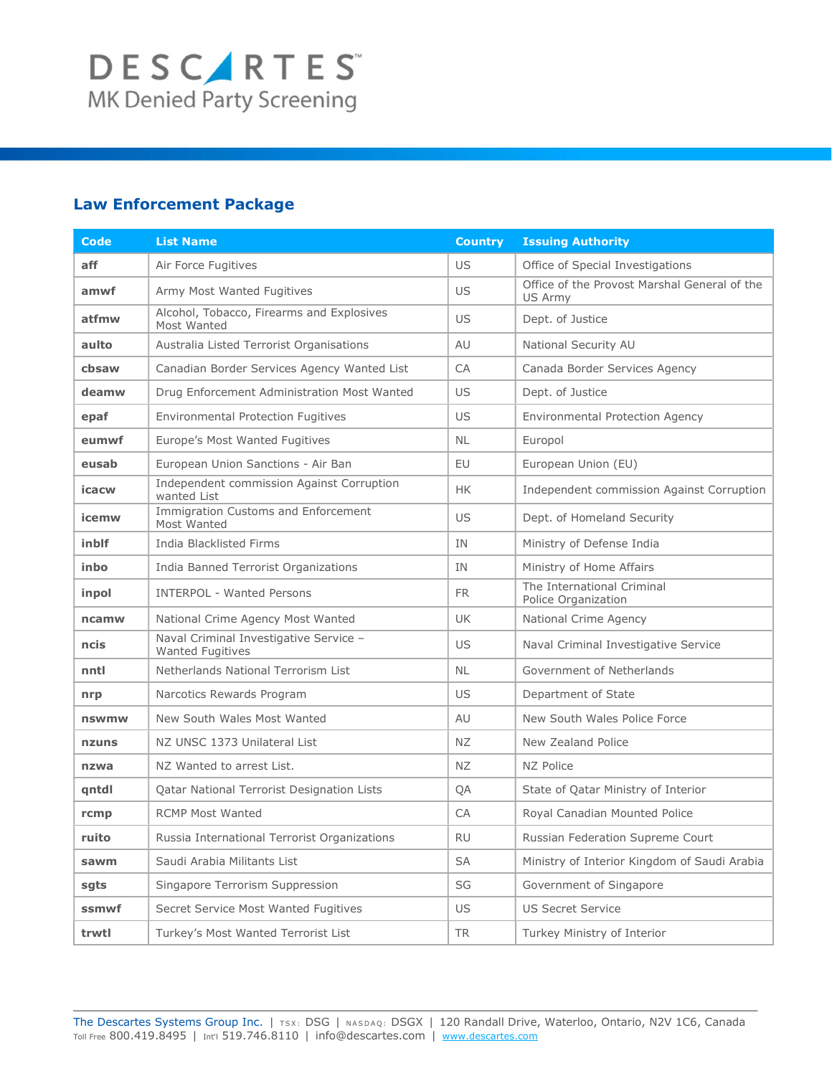### Law Enforcement Package

| Code  | <b>List Name</b>                                                  | <b>Country</b> | <b>Issuing Authority</b>                                       |
|-------|-------------------------------------------------------------------|----------------|----------------------------------------------------------------|
| aff   | Air Force Fugitives                                               | US             | Office of Special Investigations                               |
| amwf  | Army Most Wanted Fugitives                                        | US             | Office of the Provost Marshal General of the<br><b>US Army</b> |
| atfmw | Alcohol, Tobacco, Firearms and Explosives<br>Most Wanted          | US.            | Dept. of Justice                                               |
| aulto | Australia Listed Terrorist Organisations                          | AU             | National Security AU                                           |
| cbsaw | Canadian Border Services Agency Wanted List                       | CA             | Canada Border Services Agency                                  |
| deamw | Drug Enforcement Administration Most Wanted                       | US             | Dept. of Justice                                               |
| epaf  | <b>Environmental Protection Fugitives</b>                         | US             | <b>Environmental Protection Agency</b>                         |
| eumwf | Europe's Most Wanted Fugitives                                    | <b>NL</b>      | Europol                                                        |
| eusab | European Union Sanctions - Air Ban                                | EU             | European Union (EU)                                            |
| icacw | Independent commission Against Corruption<br>wanted List          | <b>HK</b>      | Independent commission Against Corruption                      |
| icemw | <b>Immigration Customs and Enforcement</b><br>Most Wanted         | US.            | Dept. of Homeland Security                                     |
| inblf | <b>India Blacklisted Firms</b>                                    | <b>IN</b>      | Ministry of Defense India                                      |
| inbo  | India Banned Terrorist Organizations                              | <b>IN</b>      | Ministry of Home Affairs                                       |
| inpol | <b>INTERPOL - Wanted Persons</b>                                  | <b>FR</b>      | The International Criminal<br>Police Organization              |
| ncamw | National Crime Agency Most Wanted                                 | <b>UK</b>      | National Crime Agency                                          |
| ncis  | Naval Criminal Investigative Service -<br><b>Wanted Fugitives</b> | US.            | Naval Criminal Investigative Service                           |
| nntl  | Netherlands National Terrorism List                               | <b>NL</b>      | Government of Netherlands                                      |
| nrp   | Narcotics Rewards Program                                         | US             | Department of State                                            |
| nswmw | New South Wales Most Wanted                                       | AU             | New South Wales Police Force                                   |
| nzuns | NZ UNSC 1373 Unilateral List                                      | ΝZ             | New Zealand Police                                             |
| nzwa  | NZ Wanted to arrest List.                                         | NZ             | NZ Police                                                      |
| qntdl | Qatar National Terrorist Designation Lists                        | QA             | State of Qatar Ministry of Interior                            |
| rcmp  | <b>RCMP Most Wanted</b>                                           | CA             | Royal Canadian Mounted Police                                  |
| ruito | Russia International Terrorist Organizations                      | <b>RU</b>      | Russian Federation Supreme Court                               |
| sawm  | Saudi Arabia Militants List                                       | SA             | Ministry of Interior Kingdom of Saudi Arabia                   |
| sgts  | Singapore Terrorism Suppression                                   | SG             | Government of Singapore                                        |
| ssmwf | Secret Service Most Wanted Fugitives                              | US             | <b>US Secret Service</b>                                       |
| trwtl | Turkey's Most Wanted Terrorist List                               | TR             | Turkey Ministry of Interior                                    |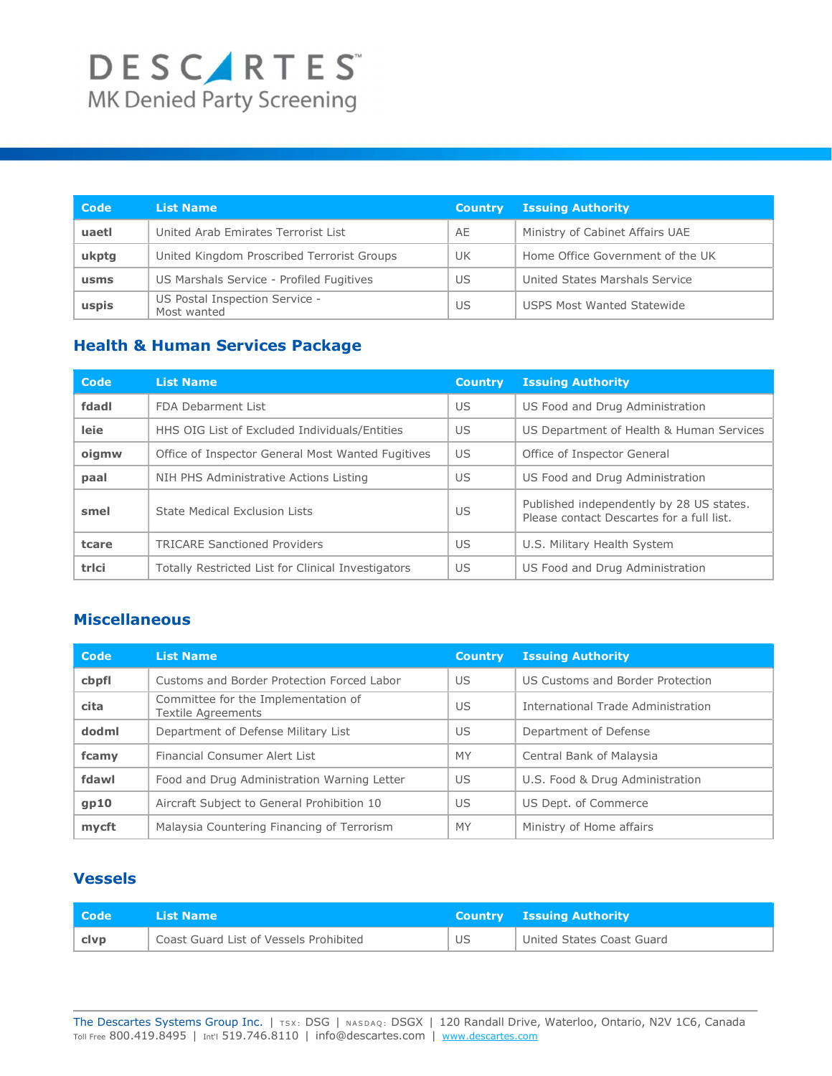| Code  | <b>List Name</b>                              | <b>Country</b> | <b>Issuing Authority</b>          |
|-------|-----------------------------------------------|----------------|-----------------------------------|
| uaetl | United Arab Emirates Terrorist List           | AE             | Ministry of Cabinet Affairs UAE   |
| ukptg | United Kingdom Proscribed Terrorist Groups    | <b>UK</b>      | Home Office Government of the UK  |
| usms  | US Marshals Service - Profiled Fugitives      | US             | United States Marshals Service    |
| uspis | US Postal Inspection Service -<br>Most wanted | US             | <b>USPS Most Wanted Statewide</b> |

### Health & Human Services Package

| Code  | <b>List Name</b>                                   | <b>Country</b> | <b>Issuing Authority</b>                                                              |
|-------|----------------------------------------------------|----------------|---------------------------------------------------------------------------------------|
| fdadl | FDA Debarment List                                 | US             | US Food and Drug Administration                                                       |
| leie  | HHS OIG List of Excluded Individuals/Entities      | US.            | US Department of Health & Human Services                                              |
| oigmw | Office of Inspector General Most Wanted Fugitives  | US             | Office of Inspector General                                                           |
| paal  | NIH PHS Administrative Actions Listing             | US             | US Food and Drug Administration                                                       |
| smel  | State Medical Exclusion Lists                      | US             | Published independently by 28 US states.<br>Please contact Descartes for a full list. |
| tcare | <b>TRICARE Sanctioned Providers</b>                | US             | U.S. Military Health System                                                           |
| trlci | Totally Restricted List for Clinical Investigators | US             | US Food and Drug Administration                                                       |

#### Miscellaneous

| Code  | <b>List Name</b>                                          | <b>Country</b> | <b>Issuing Authority</b>           |
|-------|-----------------------------------------------------------|----------------|------------------------------------|
| cbpfl | Customs and Border Protection Forced Labor                | US             | US Customs and Border Protection   |
| cita  | Committee for the Implementation of<br>Textile Agreements | US             | International Trade Administration |
| dodml | Department of Defense Military List                       | US             | Department of Defense              |
| fcamy | Financial Consumer Alert List                             | MY.            | Central Bank of Malaysia           |
| fdawl | Food and Drug Administration Warning Letter               | US             | U.S. Food & Drug Administration    |
| gp10  | Aircraft Subject to General Prohibition 10                | US             | US Dept. of Commerce               |
| mycft | Malaysia Countering Financing of Terrorism                | <b>MY</b>      | Ministry of Home affairs           |

### Vessels

| l Code | List Name                              |    | <b>Country Issuing Authority</b> |
|--------|----------------------------------------|----|----------------------------------|
| . clvp | Coast Guard List of Vessels Prohibited | US | United States Coast Guard        |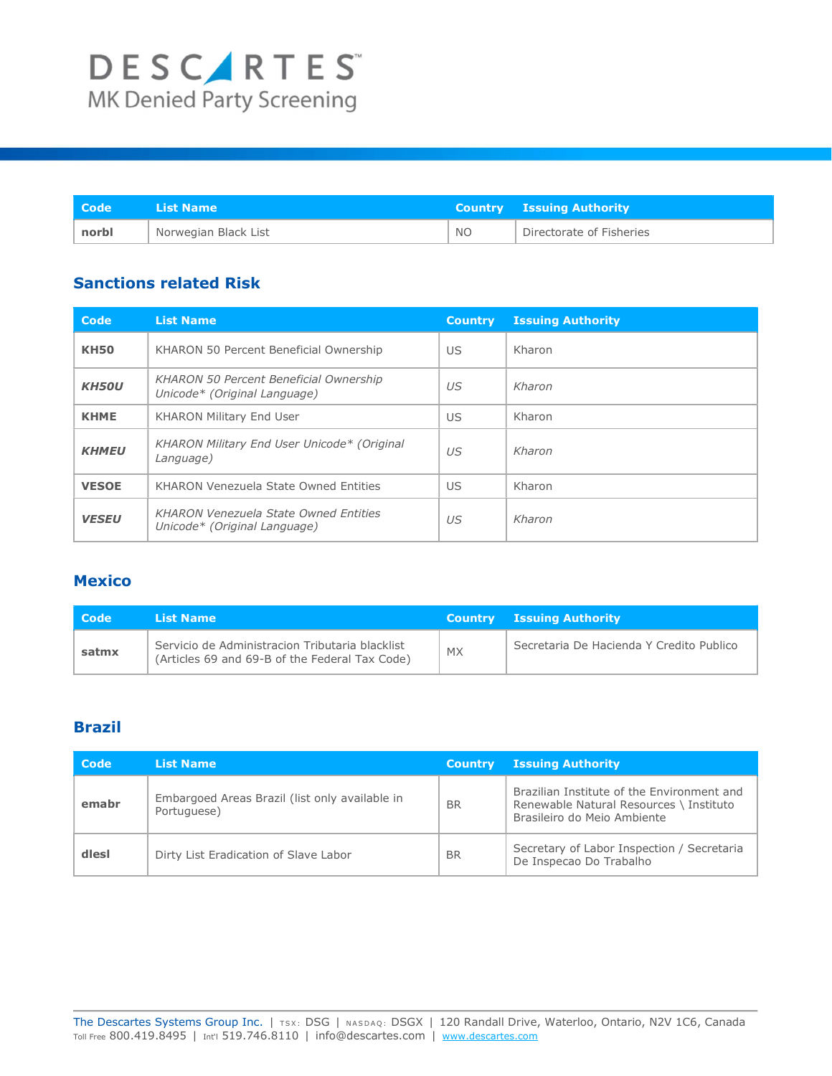| Code <sup>1</sup> | List Name            |           | <b>Country Issuing Authority</b> |
|-------------------|----------------------|-----------|----------------------------------|
| norbl             | Norwegian Black List | <b>NO</b> | Directorate of Fisheries         |

### Sanctions related Risk

| Code         | <b>List Name</b>                                                              | <b>Country</b> | <b>Issuing Authority</b> |
|--------------|-------------------------------------------------------------------------------|----------------|--------------------------|
| <b>KH50</b>  | KHARON 50 Percent Beneficial Ownership                                        | US             | Kharon                   |
| <b>KH50U</b> | <b>KHARON 50 Percent Beneficial Ownership</b><br>Unicode* (Original Language) | US             | Kharon                   |
| <b>KHME</b>  | KHARON Military End User                                                      | US             | Kharon                   |
| <b>KHMEU</b> | KHARON Military End User Unicode* (Original<br>Language)                      | $U\mathcal{S}$ | Kharon                   |
| <b>VESOE</b> | KHARON Venezuela State Owned Entities                                         | US             | Kharon                   |
| <b>VESEU</b> | <b>KHARON Venezuela State Owned Entities</b><br>Unicode* (Original Language)  | US             | Kharon                   |

#### **Mexico**

| <b>Code</b> | List Name                                                                                         |           | <b>Country Issuing Authority</b>         |
|-------------|---------------------------------------------------------------------------------------------------|-----------|------------------------------------------|
| satmx       | Servicio de Administracion Tributaria blacklist<br>(Articles 69 and 69-B of the Federal Tax Code) | <b>MX</b> | Secretaria De Hacienda Y Credito Publico |

### Brazil

| Code  | <b>List Name</b>                                              | <b>Country</b> | <b>Issuing Authority</b>                                                                                             |
|-------|---------------------------------------------------------------|----------------|----------------------------------------------------------------------------------------------------------------------|
| emabr | Embargoed Areas Brazil (list only available in<br>Portuguese) | <b>BR</b>      | Brazilian Institute of the Environment and<br>Renewable Natural Resources \ Instituto<br>Brasileiro do Meio Ambiente |
| dlesl | Dirty List Eradication of Slave Labor                         | <b>BR</b>      | Secretary of Labor Inspection / Secretaria<br>De Inspecao Do Trabalho                                                |